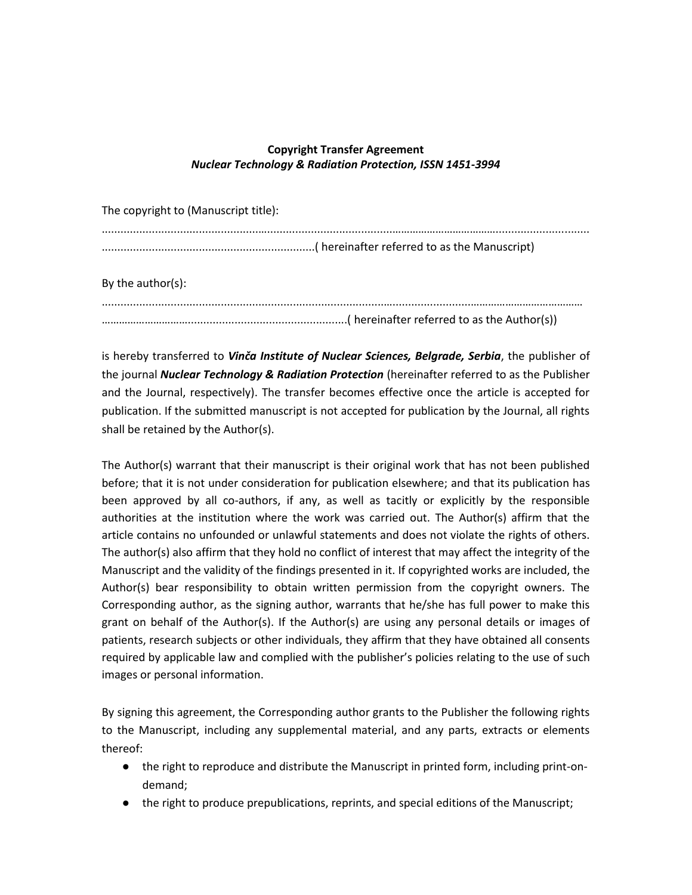## **Copyright Transfer Agreement** *Nuclear Technology & Radiation Protection, ISSN 1451-3994*

| The copyright to (Manuscript title): |  |
|--------------------------------------|--|
|                                      |  |
| By the author(s):                    |  |
|                                      |  |

is hereby transferred to *Vinča Institute of Nuclear Sciences, Belgrade, Serbia*, the publisher of the journal *Nuclear Technology & Radiation Protection* (hereinafter referred to as the Publisher and the Journal, respectively). The transfer becomes effective once the article is accepted for publication. If the submitted manuscript is not accepted for publication by the Journal, all rights shall be retained by the Author(s).

The Author(s) warrant that their manuscript is their original work that has not been published before; that it is not under consideration for publication elsewhere; and that its publication has been approved by all co-authors, if any, as well as tacitly or explicitly by the responsible authorities at the institution where the work was carried out. The Author(s) affirm that the article contains no unfounded or unlawful statements and does not violate the rights of others. The author(s) also affirm that they hold no conflict of interest that may affect the integrity of the Manuscript and the validity of the findings presented in it. If copyrighted works are included, the Author(s) bear responsibility to obtain written permission from the copyright owners. The Corresponding author, as the signing author, warrants that he/she has full power to make this grant on behalf of the Author(s). If the Author(s) are using any personal details or images of patients, research subjects or other individuals, they affirm that they have obtained all consents required by applicable law and complied with the publisher's policies relating to the use of such images or personal information.

By signing this agreement, the Corresponding author grants to the Publisher the following rights to the Manuscript, including any supplemental material, and any parts, extracts or elements thereof:

- the right to reproduce and distribute the Manuscript in printed form, including print-ondemand;
- the right to produce prepublications, reprints, and special editions of the Manuscript;